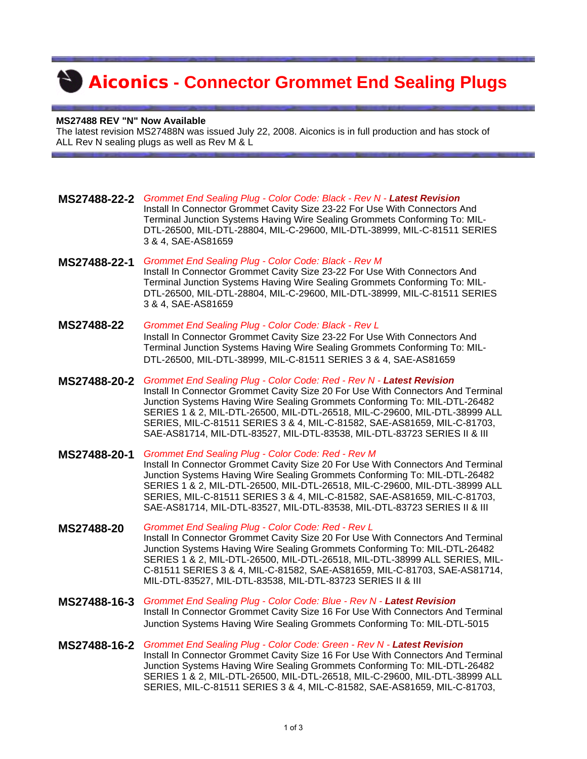## **Aiconics - Connector Grommet End Sealing Plugs**

## **MS27488 REV "N" Now Available**

The latest revision MS27488N was issued July 22, 2008. Aiconics is in full production and has stock of ALL Rev N sealing plugs as well as Rev M & L

- **MS27488-22-2** *Grommet End Sealing Plug Color Code: Black Rev N Latest Revision* Install In Connector Grommet Cavity Size 23-22 For Use With Connectors And Terminal Junction Systems Having Wire Sealing Grommets Conforming To: MIL-DTL-26500, MIL-DTL-28804, MIL-C-29600, MIL-DTL-38999, MIL-C-81511 SERIES 3 & 4, SAE-AS81659
- **MS27488-22-1** *Grommet End Sealing Plug Color Code: Black Rev M* Install In Connector Grommet Cavity Size 23-22 For Use With Connectors And Terminal Junction Systems Having Wire Sealing Grommets Conforming To: MIL-DTL-26500, MIL-DTL-28804, MIL-C-29600, MIL-DTL-38999, MIL-C-81511 SERIES 3 & 4, SAE-AS81659
- **MS27488-22** *Grommet End Sealing Plug Color Code: Black Rev L* Install In Connector Grommet Cavity Size 23-22 For Use With Connectors And Terminal Junction Systems Having Wire Sealing Grommets Conforming To: MIL-DTL-26500, MIL-DTL-38999, MIL-C-81511 SERIES 3 & 4, SAE-AS81659
- **MS27488-20-2** *Grommet End Sealing Plug Color Code: Red Rev N Latest Revision* Install In Connector Grommet Cavity Size 20 For Use With Connectors And Terminal Junction Systems Having Wire Sealing Grommets Conforming To: MIL-DTL-26482 SERIES 1 & 2, MIL-DTL-26500, MIL-DTL-26518, MIL-C-29600, MIL-DTL-38999 ALL SERIES, MIL-C-81511 SERIES 3 & 4, MIL-C-81582, SAE-AS81659, MIL-C-81703, SAE-AS81714, MIL-DTL-83527, MIL-DTL-83538, MIL-DTL-83723 SERIES II & III
- **MS27488-20-1** *Grommet End Sealing Plug Color Code: Red Rev M*  Install In Connector Grommet Cavity Size 20 For Use With Connectors And Terminal Junction Systems Having Wire Sealing Grommets Conforming To: MIL-DTL-26482 SERIES 1 & 2, MIL-DTL-26500, MIL-DTL-26518, MIL-C-29600, MIL-DTL-38999 ALL SERIES, MIL-C-81511 SERIES 3 & 4, MIL-C-81582, SAE-AS81659, MIL-C-81703, SAE-AS81714, MIL-DTL-83527, MIL-DTL-83538, MIL-DTL-83723 SERIES II & III
- **MS27488-20** *Grommet End Sealing Plug Color Code: Red Rev L*  Install In Connector Grommet Cavity Size 20 For Use With Connectors And Terminal Junction Systems Having Wire Sealing Grommets Conforming To: MIL-DTL-26482 SERIES 1 & 2, MIL-DTL-26500, MIL-DTL-26518, MIL-DTL-38999 ALL SERIES, MIL-C-81511 SERIES 3 & 4, MIL-C-81582, SAE-AS81659, MIL-C-81703, SAE-AS81714, MIL-DTL-83527, MIL-DTL-83538, MIL-DTL-83723 SERIES II & III
- **MS27488-16-3** *Grommet End Sealing Plug Color Code: Blue Rev N Latest Revision* Install In Connector Grommet Cavity Size 16 For Use With Connectors And Terminal Junction Systems Having Wire Sealing Grommets Conforming To: MIL-DTL-5015
- **MS27488-16-2** *Grommet End Sealing Plug Color Code: Green Rev N Latest Revision* Install In Connector Grommet Cavity Size 16 For Use With Connectors And Terminal Junction Systems Having Wire Sealing Grommets Conforming To: MIL-DTL-26482 SERIES 1 & 2, MIL-DTL-26500, MIL-DTL-26518, MIL-C-29600, MIL-DTL-38999 ALL SERIES, MIL-C-81511 SERIES 3 & 4, MIL-C-81582, SAE-AS81659, MIL-C-81703,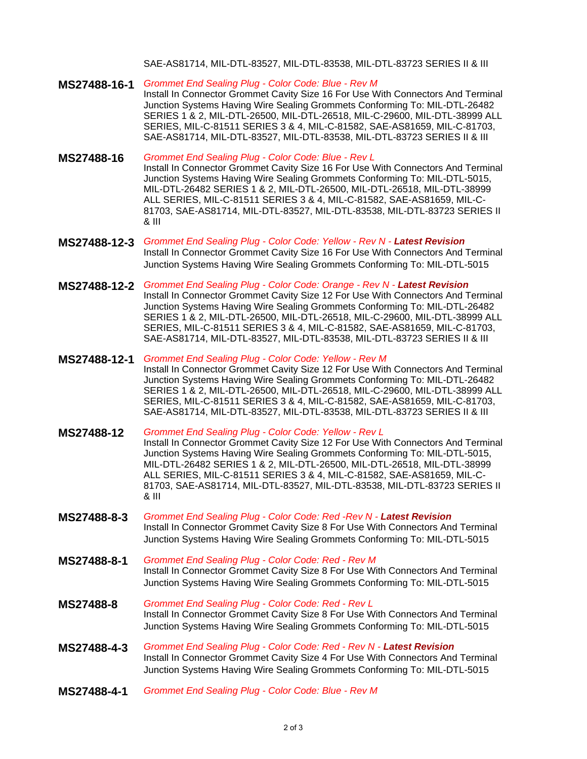## SAE-AS81714, MIL-DTL-83527, MIL-DTL-83538, MIL-DTL-83723 SERIES II & III

**MS27488-16-1** *Grommet End Sealing Plug - Color Code: Blue - Rev M*  Install In Connector Grommet Cavity Size 16 For Use With Connectors And Terminal Junction Systems Having Wire Sealing Grommets Conforming To: MIL-DTL-26482 SERIES 1 & 2, MIL-DTL-26500, MIL-DTL-26518, MIL-C-29600, MIL-DTL-38999 ALL SERIES, MIL-C-81511 SERIES 3 & 4, MIL-C-81582, SAE-AS81659, MIL-C-81703, SAE-AS81714, MIL-DTL-83527, MIL-DTL-83538, MIL-DTL-83723 SERIES II & III

- **MS27488-16** *Grommet End Sealing Plug Color Code: Blue Rev L*  Install In Connector Grommet Cavity Size 16 For Use With Connectors And Terminal Junction Systems Having Wire Sealing Grommets Conforming To: MIL-DTL-5015, MIL-DTL-26482 SERIES 1 & 2, MIL-DTL-26500, MIL-DTL-26518, MIL-DTL-38999 ALL SERIES, MIL-C-81511 SERIES 3 & 4, MIL-C-81582, SAE-AS81659, MIL-C-81703, SAE-AS81714, MIL-DTL-83527, MIL-DTL-83538, MIL-DTL-83723 SERIES II & III
- **MS27488-12-3** *Grommet End Sealing Plug Color Code: Yellow Rev N Latest Revision* Install In Connector Grommet Cavity Size 16 For Use With Connectors And Terminal Junction Systems Having Wire Sealing Grommets Conforming To: MIL-DTL-5015
- **MS27488-12-2** *Grommet End Sealing Plug Color Code: Orange Rev N Latest Revision* Install In Connector Grommet Cavity Size 12 For Use With Connectors And Terminal Junction Systems Having Wire Sealing Grommets Conforming To: MIL-DTL-26482 SERIES 1 & 2, MIL-DTL-26500, MIL-DTL-26518, MIL-C-29600, MIL-DTL-38999 ALL SERIES, MIL-C-81511 SERIES 3 & 4, MIL-C-81582, SAE-AS81659, MIL-C-81703, SAE-AS81714, MIL-DTL-83527, MIL-DTL-83538, MIL-DTL-83723 SERIES II & III
- **MS27488-12-1** *Grommet End Sealing Plug Color Code: Yellow Rev M*  Install In Connector Grommet Cavity Size 12 For Use With Connectors And Terminal Junction Systems Having Wire Sealing Grommets Conforming To: MIL-DTL-26482 SERIES 1 & 2, MIL-DTL-26500, MIL-DTL-26518, MIL-C-29600, MIL-DTL-38999 ALL SERIES, MIL-C-81511 SERIES 3 & 4, MIL-C-81582, SAE-AS81659, MIL-C-81703, SAE-AS81714, MIL-DTL-83527, MIL-DTL-83538, MIL-DTL-83723 SERIES II & III
- **MS27488-12** *Grommet End Sealing Plug Color Code: Yellow Rev L*  Install In Connector Grommet Cavity Size 12 For Use With Connectors And Terminal Junction Systems Having Wire Sealing Grommets Conforming To: MIL-DTL-5015, MIL-DTL-26482 SERIES 1 & 2, MIL-DTL-26500, MIL-DTL-26518, MIL-DTL-38999 ALL SERIES, MIL-C-81511 SERIES 3 & 4, MIL-C-81582, SAE-AS81659, MIL-C-81703, SAE-AS81714, MIL-DTL-83527, MIL-DTL-83538, MIL-DTL-83723 SERIES II & III
- **MS27488-8-3** *Grommet End Sealing Plug Color Code: Red -Rev N Latest Revision* Install In Connector Grommet Cavity Size 8 For Use With Connectors And Terminal Junction Systems Having Wire Sealing Grommets Conforming To: MIL-DTL-5015
- **MS27488-8-1** *Grommet End Sealing Plug Color Code: Red Rev M*  Install In Connector Grommet Cavity Size 8 For Use With Connectors And Terminal Junction Systems Having Wire Sealing Grommets Conforming To: MIL-DTL-5015
- **MS27488-8** *Grommet End Sealing Plug Color Code: Red Rev L*  Install In Connector Grommet Cavity Size 8 For Use With Connectors And Terminal Junction Systems Having Wire Sealing Grommets Conforming To: MIL-DTL-5015
- **MS27488-4-3** *Grommet End Sealing Plug Color Code: Red Rev N Latest Revision* Install In Connector Grommet Cavity Size 4 For Use With Connectors And Terminal Junction Systems Having Wire Sealing Grommets Conforming To: MIL-DTL-5015
- **MS27488-4-1** *Grommet End Sealing Plug Color Code: Blue Rev M*